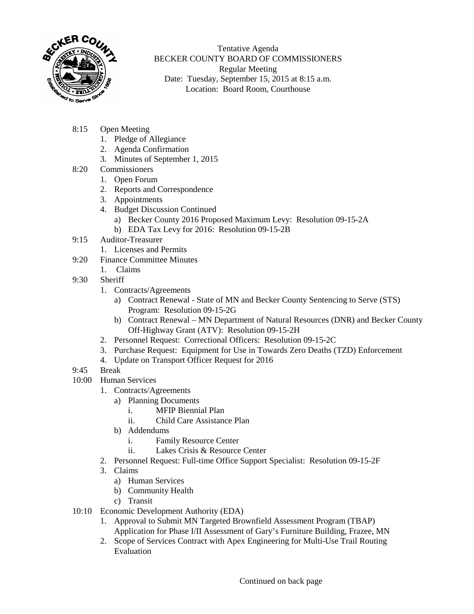

Tentative Agenda BECKER COUNTY BOARD OF COMMISSIONERS Regular Meeting Date: Tuesday, September 15, 2015 at 8:15 a.m. Location: Board Room, Courthouse

- 8:15 Open Meeting
	- 1. Pledge of Allegiance
	- 2. Agenda Confirmation
	- 3. Minutes of September 1, 2015
- 8:20 Commissioners
	- 1. Open Forum
	- 2. Reports and Correspondence
	- 3. Appointments
	- 4. Budget Discussion Continued
		- a) Becker County 2016 Proposed Maximum Levy: Resolution 09-15-2A
		- b) EDA Tax Levy for 2016: Resolution 09-15-2B
- 9:15 Auditor-Treasurer
	- 1. Licenses and Permits
- 9:20 Finance Committee Minutes
	- 1. Claims
- 9:30 Sheriff
	- 1. Contracts/Agreements
		- a) Contract Renewal State of MN and Becker County Sentencing to Serve (STS) Program: Resolution 09-15-2G
		- b) Contract Renewal MN Department of Natural Resources (DNR) and Becker County Off-Highway Grant (ATV): Resolution 09-15-2H
	- 2. Personnel Request: Correctional Officers: Resolution 09-15-2C
	- 3. Purchase Request: Equipment for Use in Towards Zero Deaths (TZD) Enforcement
	- 4. Update on Transport Officer Request for 2016
- 9:45 Break
- 10:00 Human Services
	- 1. Contracts/Agreements
		- a) Planning Documents
			- i. MFIP Biennial Plan
			- ii. Child Care Assistance Plan
		- b) Addendums
			- i. Family Resource Center
			- ii. Lakes Crisis & Resource Center
	- 2. Personnel Request: Full-time Office Support Specialist: Resolution 09-15-2F
	- 3. Claims
		- a) Human Services
		- b) Community Health
		- c) Transit
- 10:10 Economic Development Authority (EDA)
	- 1. Approval to Submit MN Targeted Brownfield Assessment Program (TBAP) Application for Phase I/II Assessment of Gary's Furniture Building, Frazee, MN
	- 2. Scope of Services Contract with Apex Engineering for Multi-Use Trail Routing Evaluation